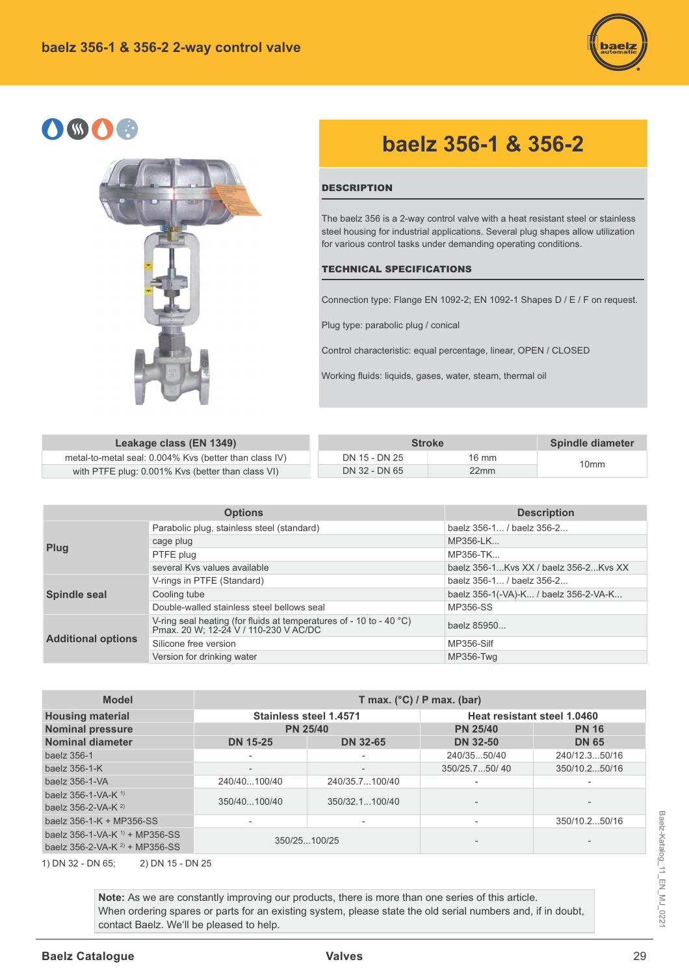

# OSOC



## **baelz 356-1 & 356-2**

#### **DESCRIPTION**

The baelz 356 is a 2-way control valve with a heat resistant steel or stainless steel housing for industrial applications. Several plug shapes allow utilization for various control tasks under demanding operating conditions.

#### TECHNICAL SPECIFICATIONS

Connection type: Flange EN 1092-2; EN 1092-1 Shapes D / E / F on request.

Plug type: parabolic plug / conical

Control characteristic: equal percentage, linear, OPEN / CLOSED

Working fluids: liquids, gases, water, steam, thermal oil

| Leakage class (EN 1349)                                | <b>Stroke</b> | Spindle diameter |                  |
|--------------------------------------------------------|---------------|------------------|------------------|
| metal-to-metal seal: 0.004% Kvs (better than class IV) | DN 15 - DN 25 | 16 mm            | 10 <sub>mm</sub> |
| with PTFE plug: 0.001% Kvs (better than class VI)      | DN 32 - DN 65 | 22mm             |                  |

|                           | <b>Options</b>                                                                                               | <b>Description</b>                    |
|---------------------------|--------------------------------------------------------------------------------------------------------------|---------------------------------------|
|                           | Parabolic plug, stainless steel (standard)                                                                   | baelz 356-1 / baelz 356-2             |
| Plug                      | cage plug                                                                                                    | MP356-LK                              |
|                           | PTFE plug                                                                                                    | MP356-TK                              |
|                           | several Kys values available                                                                                 | baelz 356-1Kvs XX / baelz 356-2Kvs XX |
|                           | V-rings in PTFE (Standard)                                                                                   | baelz 356-1 / baelz 356-2             |
| <b>Spindle seal</b>       | Cooling tube                                                                                                 | baelz 356-1(-VA)-K / baelz 356-2-VA-K |
|                           | Double-walled stainless steel bellows seal                                                                   | MP356-SS                              |
|                           | V-ring seal heating (for fluids at temperatures of - 10 to - 40 °C)<br>Pmax. 20 W; 12-24 V / 110-230 V AC/DC | baelz 85950                           |
| <b>Additional options</b> | Silicone free version                                                                                        | MP356-Silf                            |
|                           | Version for drinking water                                                                                   | MP356-Twa                             |

| <b>Model</b>                                                                               | T max. $(^{\circ}C)$ / P max. (bar) |                 |                             |               |  |  |  |  |  |  |  |
|--------------------------------------------------------------------------------------------|-------------------------------------|-----------------|-----------------------------|---------------|--|--|--|--|--|--|--|
| <b>Housing material</b>                                                                    | <b>Stainless steel 1.4571</b>       |                 | Heat resistant steel 1.0460 |               |  |  |  |  |  |  |  |
| <b>Nominal pressure</b>                                                                    | <b>PN 25/40</b>                     |                 | <b>PN 25/40</b>             | <b>PN 16</b>  |  |  |  |  |  |  |  |
| Nominal diameter                                                                           | <b>DN 15-25</b>                     | <b>DN 32-65</b> | <b>DN 32-50</b>             | <b>DN 65</b>  |  |  |  |  |  |  |  |
| baelz 356-1                                                                                |                                     |                 | 240/3550/40                 | 240/12.350/16 |  |  |  |  |  |  |  |
| baelz 356-1-K                                                                              |                                     |                 | 350/25.750/40               | 350/10.250/16 |  |  |  |  |  |  |  |
| baelz 356-1-VA                                                                             | 240/40100/40                        | 240/35.7100/40  |                             |               |  |  |  |  |  |  |  |
| baelz $356 - 1 - VA - K$ <sup>1)</sup><br>baelz $356-2-VA-K2$                              | 350/40100/40                        | 350/32.1100/40  |                             |               |  |  |  |  |  |  |  |
| baelz 356-1-K + MP356-SS                                                                   |                                     |                 |                             | 350/10.250/16 |  |  |  |  |  |  |  |
| baelz $356-1-\sqrt{A-K}$ <sup>1)</sup> + MP356-SS<br>baelz $356-2-\sqrt{A-K}^2$ + MP356-SS | 350/25100/25                        |                 |                             |               |  |  |  |  |  |  |  |
| 2) DN 15 - DN 25<br>1) DN 32 - DN 65;                                                      |                                     |                 |                             |               |  |  |  |  |  |  |  |

Note: As we are constantly improving our products, there is more than one series of this article. When ordering spares or parts for an existing system, please state the old serial numbers and, if in doubt, contact Baelz. We'll be pleased to help.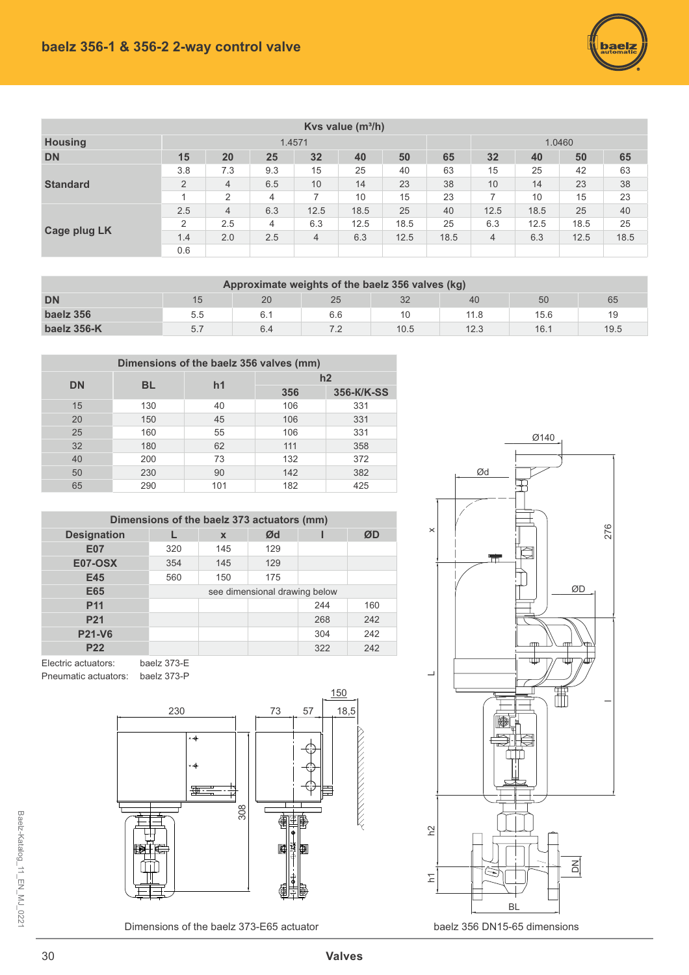

|                     | Kvs value $(m^3/h)$ |                |                |      |      |        |      |      |      |      |      |  |  |  |  |
|---------------------|---------------------|----------------|----------------|------|------|--------|------|------|------|------|------|--|--|--|--|
| <b>Housing</b>      |                     |                | 1.4571         |      |      | 1.0460 |      |      |      |      |      |  |  |  |  |
| <b>DN</b>           | 15                  | 20             | 25             | 32   | 40   | 65     | 32   | 40   | 50   | 65   |      |  |  |  |  |
|                     | 3.8                 | 7.3            | 9.3            | 15   | 25   | 40     | 63   | 15   | 25   | 42   | 63   |  |  |  |  |
| <b>Standard</b>     | $\overline{2}$      | $\overline{4}$ | 6.5            | 10   | 14   | 23     | 38   | 10   | 14   | 23   | 38   |  |  |  |  |
|                     |                     | 2              | $\overline{4}$ |      | 10   | 15     | 23   | 7    | 10   | 15   | 23   |  |  |  |  |
|                     | 2.5                 | $\overline{4}$ | 6.3            | 12.5 | 18.5 | 25     | 40   | 12.5 | 18.5 | 25   | 40   |  |  |  |  |
| <b>Cage plug LK</b> | 2                   | 2.5            | 4              | 6.3  | 12.5 | 18.5   | 25   | 6.3  | 12.5 | 18.5 | 25   |  |  |  |  |
|                     | 1.4                 | 2.0            | 2.5            | 4    | 6.3  | 12.5   | 18.5 | 4    | 6.3  | 12.5 | 18.5 |  |  |  |  |
|                     | 0.6                 |                |                |      |      |        |      |      |      |      |      |  |  |  |  |

| Approximate weights of the baelz 356 valves (kg) |                                  |     |     |      |      |      |      |  |  |  |  |  |  |  |
|--------------------------------------------------|----------------------------------|-----|-----|------|------|------|------|--|--|--|--|--|--|--|
| <b>DN</b>                                        | 32<br>20<br>25<br>50<br>65<br>40 |     |     |      |      |      |      |  |  |  |  |  |  |  |
| baelz 356                                        | 5.5                              | 6.7 | 6.6 |      | 11.8 | 15.6 | 19   |  |  |  |  |  |  |  |
| baelz 356-K                                      | 5.7                              | 6.4 |     | 10.5 | 12.3 | 16.1 | 19.5 |  |  |  |  |  |  |  |

| Dimensions of the baelz 356 valves (mm) |           |                |     |            |  |  |  |  |  |  |  |  |  |
|-----------------------------------------|-----------|----------------|-----|------------|--|--|--|--|--|--|--|--|--|
| <b>DN</b>                               | <b>BL</b> | h <sub>1</sub> | h2  |            |  |  |  |  |  |  |  |  |  |
|                                         |           |                | 356 | 356-K/K-SS |  |  |  |  |  |  |  |  |  |
| 15                                      | 130       | 40             | 106 | 331        |  |  |  |  |  |  |  |  |  |
| 20                                      | 150       | 45             | 106 | 331        |  |  |  |  |  |  |  |  |  |
| 25                                      | 160       | 55             | 106 | 331        |  |  |  |  |  |  |  |  |  |
| 32                                      | 180       | 62             | 111 | 358        |  |  |  |  |  |  |  |  |  |
| 40                                      | 200       | 73             | 132 | 372        |  |  |  |  |  |  |  |  |  |
| 50                                      | 230       | 90             | 142 | 382        |  |  |  |  |  |  |  |  |  |
| 65                                      | 290       | 101            | 182 | 425        |  |  |  |  |  |  |  |  |  |

| Dimensions of the baelz 373 actuators (mm) |     |                         |                               |     |     |  |  |  |  |  |  |  |  |  |
|--------------------------------------------|-----|-------------------------|-------------------------------|-----|-----|--|--|--|--|--|--|--|--|--|
| <b>Designation</b>                         |     | Ød<br>ØD<br>$\mathbf x$ |                               |     |     |  |  |  |  |  |  |  |  |  |
| <b>E07</b>                                 | 320 | 145                     | 129                           |     |     |  |  |  |  |  |  |  |  |  |
| <b>E07-OSX</b>                             | 354 | 145                     | 129                           |     |     |  |  |  |  |  |  |  |  |  |
| E45                                        | 560 | 150                     | 175                           |     |     |  |  |  |  |  |  |  |  |  |
| E65                                        |     |                         | see dimensional drawing below |     |     |  |  |  |  |  |  |  |  |  |
| <b>P11</b>                                 |     |                         |                               | 244 | 160 |  |  |  |  |  |  |  |  |  |
| P <sub>21</sub>                            |     |                         |                               | 268 | 242 |  |  |  |  |  |  |  |  |  |
| <b>P21-V6</b>                              |     |                         |                               | 304 | 242 |  |  |  |  |  |  |  |  |  |
| <b>P22</b>                                 |     |                         |                               | 322 | 242 |  |  |  |  |  |  |  |  |  |

Electric actuators: baelz 373-E Pneumatic actuators: baelz 373-P



Dimensions of the baelz 373-E65 actuator



baelz 356 DN15-65 dimensions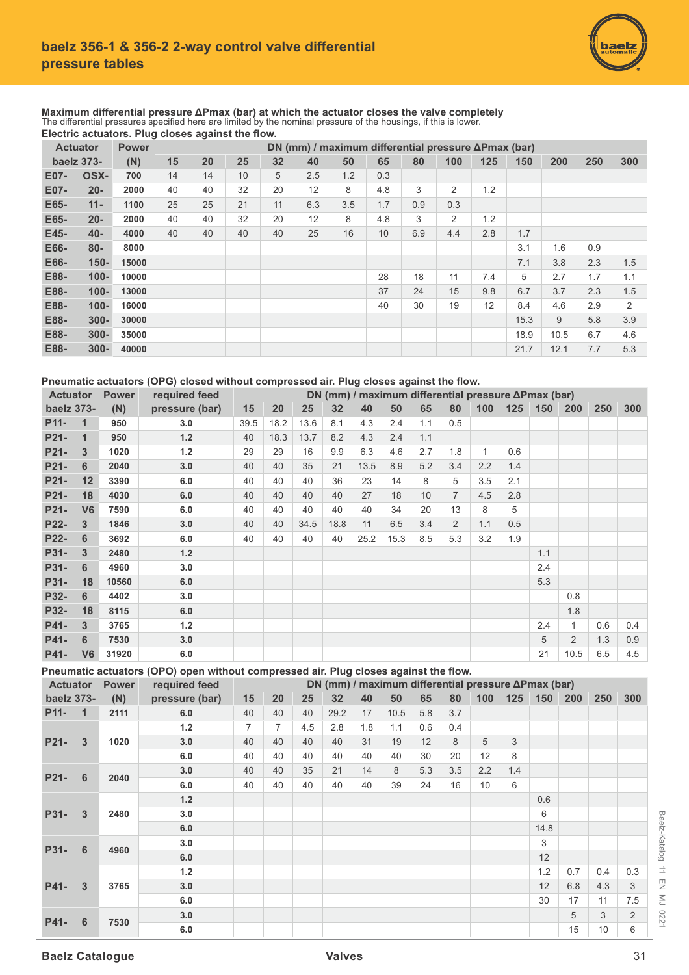

**Maximum differential pressure ΔPmax (bar) at which the actuator closes the valve completely<br>The differential pressures specified here are limited by the nominal pressure of the housings, if this is lower. Electric actuators. Plug closes against the flow.** 

| <b>Actuator</b> |         | <b>Power</b> |    | $\tilde{\phantom{a}}$ |    |    |     |     | DN (mm) / maximum differential pressure $\Delta P$ max (bar) |     |     |     |      |      |     |     |
|-----------------|---------|--------------|----|-----------------------|----|----|-----|-----|--------------------------------------------------------------|-----|-----|-----|------|------|-----|-----|
| baelz 373-      |         | (N)          | 15 | 20                    | 25 | 32 | 40  | 50  | 65                                                           | 80  | 100 | 125 | 150  | 200  | 250 | 300 |
| E07-            | OSX-    | 700          | 14 | 14                    | 10 | 5  | 2.5 | 1.2 | 0.3                                                          |     |     |     |      |      |     |     |
| E07-            | $20 -$  | 2000         | 40 | 40                    | 32 | 20 | 12  | 8   | 4.8                                                          | 3   | 2   | 1.2 |      |      |     |     |
| E65-            | $11 -$  | 1100         | 25 | 25                    | 21 | 11 | 6.3 | 3.5 | 1.7                                                          | 0.9 | 0.3 |     |      |      |     |     |
| E65-            | $20 -$  | 2000         | 40 | 40                    | 32 | 20 | 12  | 8   | 4.8                                                          | 3   | 2   | 1.2 |      |      |     |     |
| E45-            | $40 -$  | 4000         | 40 | 40                    | 40 | 40 | 25  | 16  | 10                                                           | 6.9 | 4.4 | 2.8 | 1.7  |      |     |     |
| E66-            | $80 -$  | 8000         |    |                       |    |    |     |     |                                                              |     |     |     | 3.1  | 1.6  | 0.9 |     |
| E66-            | $150 -$ | 15000        |    |                       |    |    |     |     |                                                              |     |     |     | 7.1  | 3.8  | 2.3 | 1.5 |
| E88-            | $100 -$ | 10000        |    |                       |    |    |     |     | 28                                                           | 18  | 11  | 7.4 | 5    | 2.7  | 1.7 | 1.1 |
| E88-            | $100 -$ | 13000        |    |                       |    |    |     |     | 37                                                           | 24  | 15  | 9.8 | 6.7  | 3.7  | 2.3 | 1.5 |
| E88-            | $100 -$ | 16000        |    |                       |    |    |     |     | 40                                                           | 30  | 19  | 12  | 8.4  | 4.6  | 2.9 | 2   |
| E88-            | $300 -$ | 30000        |    |                       |    |    |     |     |                                                              |     |     |     | 15.3 | 9    | 5.8 | 3.9 |
| E88-            | $300 -$ | 35000        |    |                       |    |    |     |     |                                                              |     |     |     | 18.9 | 10.5 | 6.7 | 4.6 |
| E88-            | $300 -$ | 40000        |    |                       |    |    |     |     |                                                              |     |     |     | 21.7 | 12.1 | 7.7 | 5.3 |

### Pneumatic actuators (OPG) closed without compressed air. Plug closes against the flow.

|                   | required feed<br><b>Actuator</b><br><b>Power</b> |       |                | DN (mm) / maximum differential pressure $\Delta P$ max (bar) |      |      |      |      |      |     |                |              |     |     |                |     |     |
|-------------------|--------------------------------------------------|-------|----------------|--------------------------------------------------------------|------|------|------|------|------|-----|----------------|--------------|-----|-----|----------------|-----|-----|
| baelz 373-        |                                                  | (N)   | pressure (bar) | 15                                                           | 20   | 25   | 32   | 40   | 50   | 65  | 80             | 100          | 125 | 150 | <b>200</b>     | 250 | 300 |
| P <sub>11</sub> - | $\mathbf{1}$                                     | 950   | 3.0            | 39.5                                                         | 18.2 | 13.6 | 8.1  | 4.3  | 2.4  | 1.1 | 0.5            |              |     |     |                |     |     |
| P <sub>21</sub>   | $\mathbf 1$                                      | 950   | $1.2$          | 40                                                           | 18.3 | 13.7 | 8.2  | 4.3  | 2.4  | 1.1 |                |              |     |     |                |     |     |
| P <sub>21</sub>   | 3                                                | 1020  | $1.2$          | 29                                                           | 29   | 16   | 9.9  | 6.3  | 4.6  | 2.7 | 1.8            | $\mathbf{1}$ | 0.6 |     |                |     |     |
| P21-              | 6                                                | 2040  | 3.0            | 40                                                           | 40   | 35   | 21   | 13.5 | 8.9  | 5.2 | 3.4            | 2.2          | 1.4 |     |                |     |     |
| P21-              | 12                                               | 3390  | 6.0            | 40                                                           | 40   | 40   | 36   | 23   | 14   | 8   | 5              | 3.5          | 2.1 |     |                |     |     |
| P <sub>21</sub>   | 18                                               | 4030  | 6.0            | 40                                                           | 40   | 40   | 40   | 27   | 18   | 10  | $\overline{7}$ | 4.5          | 2.8 |     |                |     |     |
| P <sub>21</sub>   | V <sub>6</sub>                                   | 7590  | 6.0            | 40                                                           | 40   | 40   | 40   | 40   | 34   | 20  | 13             | 8            | 5   |     |                |     |     |
| <b>P22-</b>       | 3                                                | 1846  | 3.0            | 40                                                           | 40   | 34.5 | 18.8 | 11   | 6.5  | 3.4 | 2              | 1.1          | 0.5 |     |                |     |     |
| <b>P22-</b>       | 6                                                | 3692  | 6.0            | 40                                                           | 40   | 40   | 40   | 25.2 | 15.3 | 8.5 | 5.3            | 3.2          | 1.9 |     |                |     |     |
| P31-              | 3                                                | 2480  | 1.2            |                                                              |      |      |      |      |      |     |                |              |     | 1.1 |                |     |     |
| P31-              | 6                                                | 4960  | 3.0            |                                                              |      |      |      |      |      |     |                |              |     | 2.4 |                |     |     |
| P31-              | 18                                               | 10560 | 6.0            |                                                              |      |      |      |      |      |     |                |              |     | 5.3 |                |     |     |
| P32-              | 6                                                | 4402  | 3.0            |                                                              |      |      |      |      |      |     |                |              |     |     | 0.8            |     |     |
| P32-              | 18                                               | 8115  | 6.0            |                                                              |      |      |      |      |      |     |                |              |     |     | 1.8            |     |     |
| P41-              | 3                                                | 3765  | 1.2            |                                                              |      |      |      |      |      |     |                |              |     | 2.4 | 1              | 0.6 | 0.4 |
| P41-              | 6                                                | 7530  | 3.0            |                                                              |      |      |      |      |      |     |                |              |     | 5   | $\overline{2}$ | 1.3 | 0.9 |
| P41-              | V <sub>6</sub>                                   | 31920 | 6.0            |                                                              |      |      |      |      |      |     |                |              |     | 21  | 10.5           | 6.5 | 4.5 |

Pneumatic actuators (OPO) open without compressed air. Plug closes against the flow.

| <b>Actuator</b> |                | <b>Power</b> | required feed  | DN (mm) / maximum differential pressure ΔPmax (bar) |                |     |      |     |      |     |     |     |     |      |            |                |     |  |  |
|-----------------|----------------|--------------|----------------|-----------------------------------------------------|----------------|-----|------|-----|------|-----|-----|-----|-----|------|------------|----------------|-----|--|--|
| baelz 373-      |                | (N)          | pressure (bar) | 15                                                  | 20             | 25  | 32   | 40  | 50   | 65  | 80  | 100 | 125 | 150  | <b>200</b> | 250            | 300 |  |  |
| P11-            | $\mathbf{1}$   | 2111         | 6.0            | 40                                                  | 40             | 40  | 29.2 | 17  | 10.5 | 5.8 | 3.7 |     |     |      |            |                |     |  |  |
|                 |                |              | $1.2$          | $\overline{7}$                                      | $\overline{7}$ | 4.5 | 2.8  | 1.8 | 1.1  | 0.6 | 0.4 |     |     |      |            |                |     |  |  |
| P21-            | $\overline{3}$ | 1020         | 3.0            | 40                                                  | 40             | 40  | 40   | 31  | 19   | 12  | 8   | 5   | 3   |      |            |                |     |  |  |
|                 |                |              | 6.0            | 40                                                  | 40             | 40  | 40   | 40  | 40   | 30  | 20  | 12  | 8   |      |            |                |     |  |  |
| P <sub>21</sub> | 6              | 2040         | 3.0            | 40                                                  | 40             | 35  | 21   | 14  | 8    | 5.3 | 3.5 | 2.2 | 1.4 |      |            |                |     |  |  |
|                 |                |              | 6.0            | 40                                                  | 40             | 40  | 40   | 40  | 39   | 24  | 16  | 10  | 6   |      |            |                |     |  |  |
|                 |                | 1.2          |                |                                                     |                |     |      |     |      |     |     |     | 0.6 |      |            |                |     |  |  |
| P31-            | 3              | 2480         | 3.0            |                                                     |                |     |      |     |      |     |     |     |     | 6    |            |                |     |  |  |
|                 |                |              | 6.0            |                                                     |                |     |      |     |      |     |     |     |     | 14.8 |            |                |     |  |  |
| P31-            | 6              | 4960         | 3.0            |                                                     |                |     |      |     |      |     |     |     |     | 3    |            |                |     |  |  |
|                 |                |              | 6.0            |                                                     |                |     |      |     |      |     |     |     |     | 12   |            |                |     |  |  |
|                 |                |              | $1.2$          |                                                     |                |     |      |     |      |     |     |     |     | 1.2  | 0.7        | 0.4            | 0.3 |  |  |
| P41-            | 3              | 3765         | 3.0            |                                                     |                |     |      |     |      |     |     |     |     | 12   | 6.8        | 4.3            | 3   |  |  |
|                 |                |              | 6.0            |                                                     |                |     |      |     |      |     |     |     |     | 30   | 17         | 11             | 7.5 |  |  |
| P41-<br>6       |                | 3.0          |                |                                                     |                |     |      |     |      |     |     |     |     | 5    | 3          | $\overline{2}$ |     |  |  |
|                 | 7530           | 6.0          |                |                                                     |                |     |      |     |      |     |     |     |     | 15   | 10         | 6              |     |  |  |